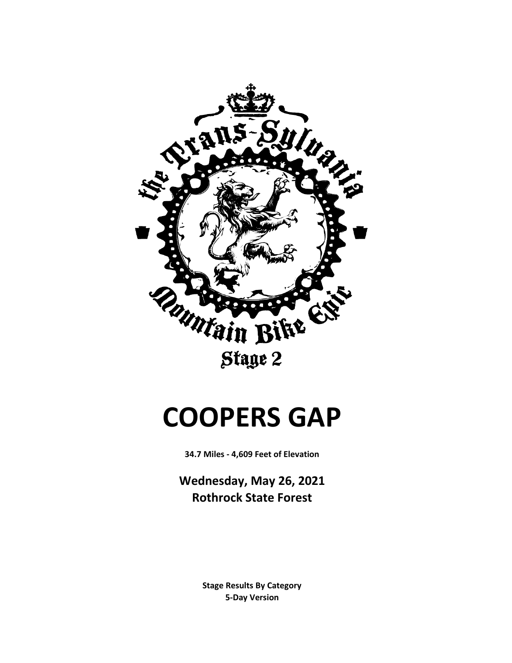

# **COOPERS GAP**

**34.7 Miles - 4,609 Feet of Elevation**

**Wednesday, May 26, 2021 Rothrock State Forest**

> **5-Day Version Stage Results By Category**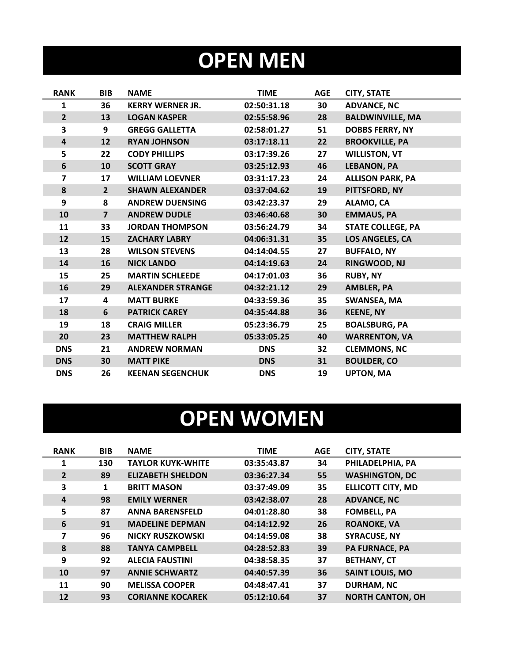## **OPEN MEN**

| <b>RANK</b>             | <b>BIB</b>              | <b>NAME</b>              | <b>TIME</b> | <b>AGE</b> | <b>CITY, STATE</b>       |
|-------------------------|-------------------------|--------------------------|-------------|------------|--------------------------|
| 1                       | 36                      | <b>KERRY WERNER JR.</b>  | 02:50:31.18 | 30         | <b>ADVANCE, NC</b>       |
| $\overline{2}$          | 13                      | <b>LOGAN KASPER</b>      | 02:55:58.96 | 28         | <b>BALDWINVILLE, MA</b>  |
| 3                       | 9                       | <b>GREGG GALLETTA</b>    | 02:58:01.27 | 51         | <b>DOBBS FERRY, NY</b>   |
| $\overline{\mathbf{4}}$ | 12                      | <b>RYAN JOHNSON</b>      | 03:17:18.11 | 22         | <b>BROOKVILLE, PA</b>    |
| 5                       | 22                      | <b>CODY PHILLIPS</b>     | 03:17:39.26 | 27         | <b>WILLISTON, VT</b>     |
| 6                       | 10                      | <b>SCOTT GRAY</b>        | 03:25:12.93 | 46         | <b>LEBANON, PA</b>       |
| $\overline{\mathbf{z}}$ | 17                      | <b>WILLIAM LOEVNER</b>   | 03:31:17.23 | 24         | <b>ALLISON PARK, PA</b>  |
| 8                       | $2^{\circ}$             | <b>SHAWN ALEXANDER</b>   | 03:37:04.62 | 19         | PITTSFORD, NY            |
| 9                       | 8                       | <b>ANDREW DUENSING</b>   | 03:42:23.37 | 29         | ALAMO, CA                |
| 10                      | $\overline{\mathbf{z}}$ | <b>ANDREW DUDLE</b>      | 03:46:40.68 | 30         | <b>EMMAUS, PA</b>        |
| 11                      | 33                      | <b>JORDAN THOMPSON</b>   | 03:56:24.79 | 34         | <b>STATE COLLEGE, PA</b> |
| 12                      | 15                      | <b>ZACHARY LABRY</b>     | 04:06:31.31 | 35         | LOS ANGELES, CA          |
| 13                      | 28                      | <b>WILSON STEVENS</b>    | 04:14:04.55 | 27         | <b>BUFFALO, NY</b>       |
| 14                      | 16                      | <b>NICK LANDO</b>        | 04:14:19.63 | 24         | RINGWOOD, NJ             |
| 15                      | 25                      | <b>MARTIN SCHLEEDE</b>   | 04:17:01.03 | 36         | <b>RUBY, NY</b>          |
| 16                      | 29                      | <b>ALEXANDER STRANGE</b> | 04:32:21.12 | 29         | <b>AMBLER, PA</b>        |
| 17                      | 4                       | <b>MATT BURKE</b>        | 04:33:59.36 | 35         | <b>SWANSEA, MA</b>       |
| 18                      | 6                       | <b>PATRICK CAREY</b>     | 04:35:44.88 | 36         | <b>KEENE, NY</b>         |
| 19                      | 18                      | <b>CRAIG MILLER</b>      | 05:23:36.79 | 25         | <b>BOALSBURG, PA</b>     |
| 20                      | 23                      | <b>MATTHEW RALPH</b>     | 05:33:05.25 | 40         | <b>WARRENTON, VA</b>     |
| <b>DNS</b>              | 21                      | <b>ANDREW NORMAN</b>     | <b>DNS</b>  | 32         | <b>CLEMMONS, NC</b>      |
| <b>DNS</b>              | 30                      | <b>MATT PIKE</b>         | <b>DNS</b>  | 31         | <b>BOULDER, CO</b>       |
| <b>DNS</b>              | 26                      | <b>KEENAN SEGENCHUK</b>  | <b>DNS</b>  | 19         | <b>UPTON, MA</b>         |

## **OPEN WOMEN**

| <b>RANK</b>    | <b>BIB</b> | <b>NAME</b>              | <b>TIME</b> | <b>AGE</b> | <b>CITY, STATE</b>       |
|----------------|------------|--------------------------|-------------|------------|--------------------------|
| $\mathbf{1}$   | 130        | <b>TAYLOR KUYK-WHITE</b> | 03:35:43.87 | 34         | PHILADELPHIA, PA         |
| $\overline{2}$ | 89         | <b>ELIZABETH SHELDON</b> | 03:36:27.34 | 55         | <b>WASHINGTON, DC</b>    |
| 3              | 1          | <b>BRITT MASON</b>       | 03:37:49.09 | 35         | <b>ELLICOTT CITY, MD</b> |
| 4              | 98         | <b>EMILY WERNER</b>      | 03:42:38.07 | 28         | <b>ADVANCE, NC</b>       |
| 5              | 87         | <b>ANNA BARENSFELD</b>   | 04:01:28.80 | 38         | <b>FOMBELL, PA</b>       |
| 6              | 91         | <b>MADELINE DEPMAN</b>   | 04:14:12.92 | 26         | <b>ROANOKE, VA</b>       |
| 7              | 96         | <b>NICKY RUSZKOWSKI</b>  | 04:14:59.08 | 38         | <b>SYRACUSE, NY</b>      |
| 8              | 88         | <b>TANYA CAMPBELL</b>    | 04:28:52.83 | 39         | <b>PA FURNACE, PA</b>    |
| 9              | 92         | <b>ALECIA FAUSTINI</b>   | 04:38:58.35 | 37         | <b>BETHANY, CT</b>       |
| 10             | 97         | <b>ANNIE SCHWARTZ</b>    | 04:40:57.39 | 36         | <b>SAINT LOUIS, MO</b>   |
| 11             | 90         | <b>MELISSA COOPER</b>    | 04:48:47.41 | 37         | <b>DURHAM, NC</b>        |
| 12             | 93         | <b>CORIANNE KOCAREK</b>  | 05:12:10.64 | 37         | <b>NORTH CANTON, OH</b>  |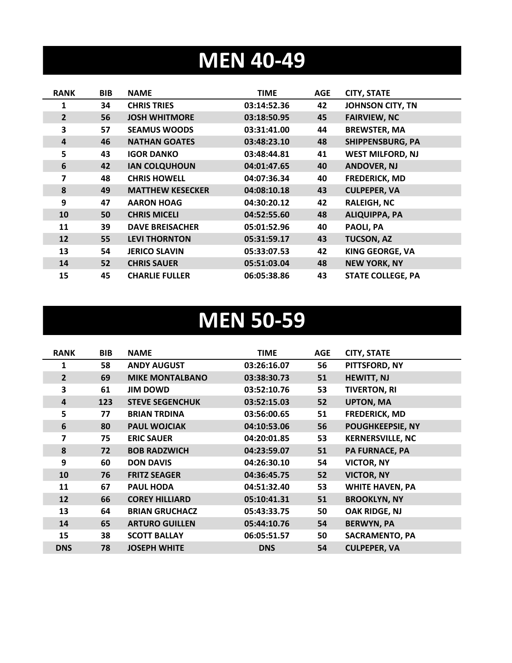### **MEN 40-49**

| <b>RANK</b>    | <b>BIB</b> | <b>NAME</b>             | <b>TIME</b> | <b>AGE</b> | <b>CITY, STATE</b>       |
|----------------|------------|-------------------------|-------------|------------|--------------------------|
| 1              | 34         | <b>CHRIS TRIES</b>      | 03:14:52.36 | 42         | <b>JOHNSON CITY, TN</b>  |
| $\overline{2}$ | 56         | <b>JOSH WHITMORE</b>    | 03:18:50.95 | 45         | <b>FAIRVIEW, NC</b>      |
| 3              | 57         | <b>SEAMUS WOODS</b>     | 03:31:41.00 | 44         | <b>BREWSTER, MA</b>      |
| 4              | 46         | <b>NATHAN GOATES</b>    | 03:48:23.10 | 48         | <b>SHIPPENSBURG, PA</b>  |
| 5              | 43         | <b>IGOR DANKO</b>       | 03:48:44.81 | 41         | <b>WEST MILFORD, NJ</b>  |
| 6              | 42         | <b>IAN COLQUHOUN</b>    | 04:01:47.65 | 40         | <b>ANDOVER, NJ</b>       |
| 7              | 48         | <b>CHRIS HOWELL</b>     | 04:07:36.34 | 40         | <b>FREDERICK, MD</b>     |
| 8              | 49         | <b>MATTHEW KESECKER</b> | 04:08:10.18 | 43         | <b>CULPEPER, VA</b>      |
| 9              | 47         | <b>AARON HOAG</b>       | 04:30:20.12 | 42         | <b>RALEIGH, NC</b>       |
| 10             | 50         | <b>CHRIS MICELI</b>     | 04:52:55.60 | 48         | <b>ALIQUIPPA, PA</b>     |
| 11             | 39         | <b>DAVE BREISACHER</b>  | 05:01:52.96 | 40         | PAOLI, PA                |
| 12             | 55         | <b>LEVI THORNTON</b>    | 05:31:59.17 | 43         | <b>TUCSON, AZ</b>        |
| 13             | 54         | <b>JERICO SLAVIN</b>    | 05:33:07.53 | 42         | <b>KING GEORGE, VA</b>   |
| 14             | 52         | <b>CHRIS SAUER</b>      | 05:51:03.04 | 48         | <b>NEW YORK, NY</b>      |
| 15             | 45         | <b>CHARLIE FULLER</b>   | 06:05:38.86 | 43         | <b>STATE COLLEGE, PA</b> |

#### **MEN 50-59**

| <b>RANK</b>    | <b>BIB</b> | <b>NAME</b>            | <b>TIME</b> | <b>AGE</b> | <b>CITY, STATE</b>      |
|----------------|------------|------------------------|-------------|------------|-------------------------|
| 1              | 58         | <b>ANDY AUGUST</b>     | 03:26:16.07 | 56         | PITTSFORD, NY           |
| $\overline{2}$ | 69         | <b>MIKE MONTALBANO</b> | 03:38:30.73 | 51         | <b>HEWITT, NJ</b>       |
| 3              | 61         | <b>JIM DOWD</b>        | 03:52:10.76 | 53         | <b>TIVERTON, RI</b>     |
| $\overline{4}$ | 123        | <b>STEVE SEGENCHUK</b> | 03:52:15.03 | 52         | <b>UPTON, MA</b>        |
| 5              | 77         | <b>BRIAN TRDINA</b>    | 03:56:00.65 | 51         | <b>FREDERICK, MD</b>    |
| 6              | 80         | <b>PAUL WOJCIAK</b>    | 04:10:53.06 | 56         | <b>POUGHKEEPSIE, NY</b> |
| 7              | 75         | <b>ERIC SAUER</b>      | 04:20:01.85 | 53         | <b>KERNERSVILLE, NC</b> |
| 8              | 72         | <b>BOB RADZWICH</b>    | 04:23:59.07 | 51         | <b>PA FURNACE, PA</b>   |
| 9              | 60         | <b>DON DAVIS</b>       | 04:26:30.10 | 54         | <b>VICTOR, NY</b>       |
| 10             | 76         | <b>FRITZ SEAGER</b>    | 04:36:45.75 | 52         | <b>VICTOR, NY</b>       |
| 11             | 67         | <b>PAUL HODA</b>       | 04:51:32.40 | 53         | <b>WHITE HAVEN, PA</b>  |
| 12             | 66         | <b>COREY HILLIARD</b>  | 05:10:41.31 | 51         | <b>BROOKLYN, NY</b>     |
| 13             | 64         | <b>BRIAN GRUCHACZ</b>  | 05:43:33.75 | 50         | OAK RIDGE, NJ           |
| 14             | 65         | <b>ARTURO GUILLEN</b>  | 05:44:10.76 | 54         | <b>BERWYN, PA</b>       |
| 15             | 38         | <b>SCOTT BALLAY</b>    | 06:05:51.57 | 50         | <b>SACRAMENTO, PA</b>   |
| <b>DNS</b>     | 78         | <b>JOSEPH WHITE</b>    | <b>DNS</b>  | 54         | <b>CULPEPER, VA</b>     |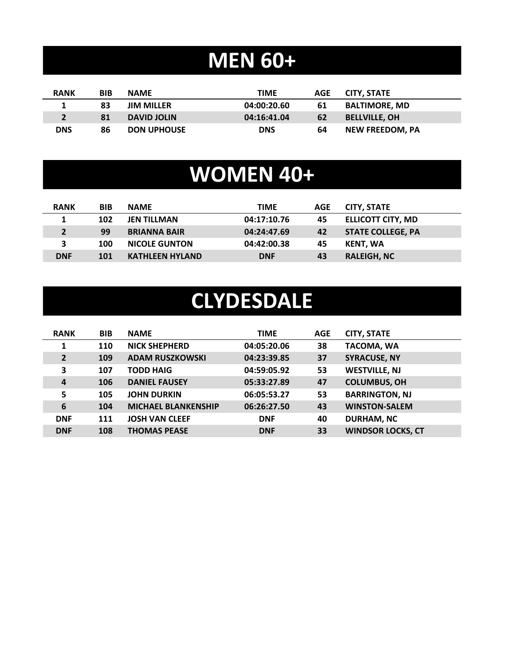## **MEN 60+**

| <b>RANK</b> | BIB | <b>NAME</b>        | <b>TIME</b> | AGE | CITY, STATE            |
|-------------|-----|--------------------|-------------|-----|------------------------|
|             | 83  | <b>JIM MILLER</b>  | 04:00:20.60 | 61  | <b>BALTIMORE, MD</b>   |
|             | 81  | <b>DAVID JOLIN</b> | 04:16:41.04 | 62  | <b>BELLVILLE, OH</b>   |
| DNS         | 86  | <b>DON UPHOUSE</b> | <b>DNS</b>  | 64  | <b>NEW FREEDOM. PA</b> |

### **WOMEN 40+**

| <b>RANK</b> | <b>BIB</b> | <b>NAME</b>            | TIME        | AGE | <b>CITY, STATE</b>       |
|-------------|------------|------------------------|-------------|-----|--------------------------|
|             | 102        | <b>JEN TILLMAN</b>     | 04:17:10.76 | 45  | <b>ELLICOTT CITY, MD</b> |
| $2^{\circ}$ | 99         | <b>BRIANNA BAIR</b>    | 04:24:47.69 | 42  | <b>STATE COLLEGE, PA</b> |
| 3           | 100        | <b>NICOLE GUNTON</b>   | 04:42:00.38 | 45  | KENT, WA                 |
| <b>DNF</b>  | 101        | <b>KATHLEEN HYLAND</b> | <b>DNF</b>  | 43  | <b>RALEIGH, NC</b>       |

### **CLYDESDALE**

| <b>RANK</b>    | <b>BIB</b> | <b>NAME</b>                | <b>TIME</b> | <b>AGE</b> | <b>CITY, STATE</b>       |
|----------------|------------|----------------------------|-------------|------------|--------------------------|
| 1              | 110        | <b>NICK SHEPHERD</b>       | 04:05:20.06 | 38         | <b>TACOMA, WA</b>        |
| $\overline{2}$ | 109        | <b>ADAM RUSZKOWSKI</b>     | 04:23:39.85 | 37         | <b>SYRACUSE, NY</b>      |
| 3              | 107        | <b>TODD HAIG</b>           | 04:59:05.92 | 53         | <b>WESTVILLE, NJ</b>     |
| $\overline{a}$ | 106        | <b>DANIEL FAUSEY</b>       | 05:33:27.89 | 47         | <b>COLUMBUS, OH</b>      |
| 5              | 105        | <b>JOHN DURKIN</b>         | 06:05:53.27 | 53         | <b>BARRINGTON, NJ</b>    |
| 6              | 104        | <b>MICHAEL BLANKENSHIP</b> | 06:26:27.50 | 43         | <b>WINSTON-SALEM</b>     |
| <b>DNF</b>     | 111        | <b>JOSH VAN CLEEF</b>      | <b>DNF</b>  | 40         | DURHAM, NC               |
| <b>DNF</b>     | 108        | <b>THOMAS PEASE</b>        | <b>DNF</b>  | 33         | <b>WINDSOR LOCKS, CT</b> |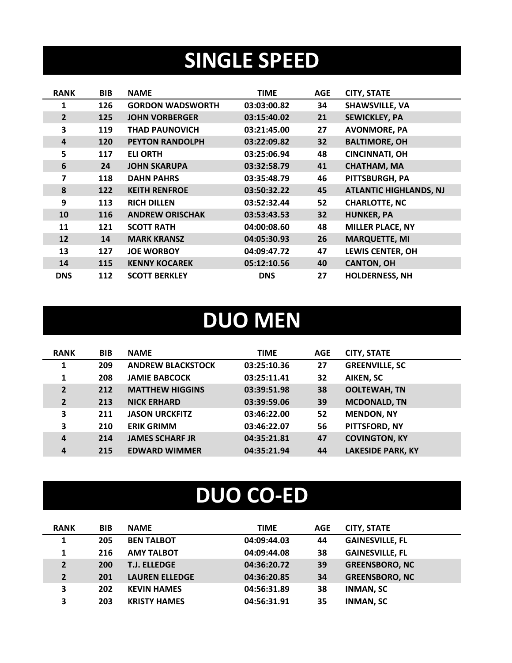## **SINGLE SPEED**

| <b>RANK</b>    | <b>BIB</b> | <b>NAME</b>             | <b>TIME</b> | <b>AGE</b> | <b>CITY, STATE</b>            |
|----------------|------------|-------------------------|-------------|------------|-------------------------------|
| 1              | 126        | <b>GORDON WADSWORTH</b> | 03:03:00.82 | 34         | <b>SHAWSVILLE, VA</b>         |
| $\overline{2}$ | 125        | <b>JOHN VORBERGER</b>   | 03:15:40.02 | 21         | <b>SEWICKLEY, PA</b>          |
| 3              | 119        | <b>THAD PAUNOVICH</b>   | 03:21:45.00 | 27         | <b>AVONMORE, PA</b>           |
| 4              | 120        | <b>PEYTON RANDOLPH</b>  | 03:22:09.82 | 32         | <b>BALTIMORE, OH</b>          |
| 5              | 117        | <b>ELI ORTH</b>         | 03:25:06.94 | 48         | <b>CINCINNATI, OH</b>         |
| 6              | 24         | <b>JOHN SKARUPA</b>     | 03:32:58.79 | 41         | <b>CHATHAM, MA</b>            |
| 7              | 118        | <b>DAHN PAHRS</b>       | 03:35:48.79 | 46         | PITTSBURGH, PA                |
| 8              | 122        | <b>KEITH RENFROE</b>    | 03:50:32.22 | 45         | <b>ATLANTIC HIGHLANDS, NJ</b> |
| 9              | 113        | <b>RICH DILLEN</b>      | 03:52:32.44 | 52         | <b>CHARLOTTE, NC</b>          |
| 10             | 116        | <b>ANDREW ORISCHAK</b>  | 03:53:43.53 | 32         | <b>HUNKER, PA</b>             |
| 11             | 121        | <b>SCOTT RATH</b>       | 04:00:08.60 | 48         | <b>MILLER PLACE, NY</b>       |
| 12             | 14         | <b>MARK KRANSZ</b>      | 04:05:30.93 | 26         | <b>MARQUETTE, MI</b>          |
| 13             | 127        | <b>JOE WORBOY</b>       | 04:09:47.72 | 47         | <b>LEWIS CENTER, OH</b>       |
| 14             | 115        | <b>KENNY KOCAREK</b>    | 05:12:10.56 | 40         | <b>CANTON, OH</b>             |
| <b>DNS</b>     | 112        | <b>SCOTT BERKLEY</b>    | <b>DNS</b>  | 27         | <b>HOLDERNESS, NH</b>         |

#### **DUO MEN**

| <b>RANK</b>    | <b>BIB</b> | <b>NAME</b>              | <b>TIME</b> | <b>AGE</b> | <b>CITY, STATE</b>       |
|----------------|------------|--------------------------|-------------|------------|--------------------------|
| 1              | 209        | <b>ANDREW BLACKSTOCK</b> | 03:25:10.36 | 27         | <b>GREENVILLE, SC</b>    |
| 1              | 208        | <b>JAMIE BABCOCK</b>     | 03:25:11.41 | 32         | AIKEN, SC                |
| $\overline{2}$ | 212        | <b>MATTHEW HIGGINS</b>   | 03:39:51.98 | 38         | <b>OOLTEWAH, TN</b>      |
| $\overline{2}$ | 213        | <b>NICK ERHARD</b>       | 03:39:59.06 | 39         | <b>MCDONALD, TN</b>      |
| 3              | 211        | <b>JASON URCKFITZ</b>    | 03:46:22.00 | 52         | <b>MENDON, NY</b>        |
| 3              | 210        | <b>ERIK GRIMM</b>        | 03:46:22.07 | 56         | PITTSFORD, NY            |
| 4              | 214        | <b>JAMES SCHARF JR</b>   | 04:35:21.81 | 47         | <b>COVINGTON, KY</b>     |
| 4              | 215        | <b>EDWARD WIMMER</b>     | 04:35:21.94 | 44         | <b>LAKESIDE PARK, KY</b> |

### **DUO CO-ED**

| <b>RANK</b>    | <b>BIB</b> | <b>NAME</b>           | <b>TIME</b> | <b>AGE</b> | <b>CITY, STATE</b>     |
|----------------|------------|-----------------------|-------------|------------|------------------------|
| 1              | 205        | <b>BEN TALBOT</b>     | 04:09:44.03 | 44         | <b>GAINESVILLE, FL</b> |
| 1              | 216        | <b>AMY TALBOT</b>     | 04:09:44.08 | 38         | <b>GAINESVILLE, FL</b> |
| $\overline{2}$ | 200        | <b>T.J. ELLEDGE</b>   | 04:36:20.72 | 39         | <b>GREENSBORO, NC</b>  |
| $\overline{2}$ | 201        | <b>LAUREN ELLEDGE</b> | 04:36:20.85 | 34         | <b>GREENSBORO, NC</b>  |
| 3              | 202        | <b>KEVIN HAMES</b>    | 04:56:31.89 | 38         | <b>INMAN, SC</b>       |
| 3              | 203        | <b>KRISTY HAMES</b>   | 04:56:31.91 | 35         | <b>INMAN, SC</b>       |